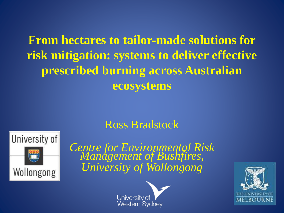## **From hectares to tailor-made solutions for risk mitigation: systems to deliver effective prescribed burning across Australian ecosystems**

### Ross Bradstock



*Centre for Environmental Risk Management of Bushfires, University of Wollongong*



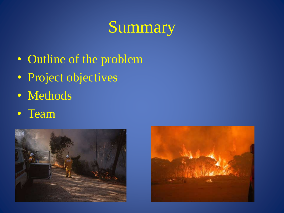# Summary

- Outline of the problem
- Project objectives
- Methods
- Team



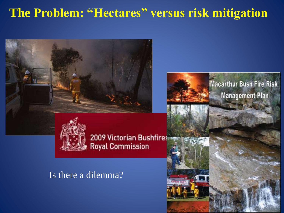## **The Problem: "Hectares" versus risk mitigation**



### Is there a dilemma?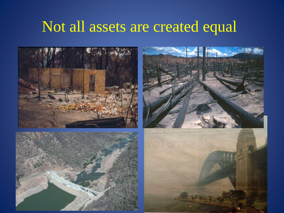## Not all assets are created equal

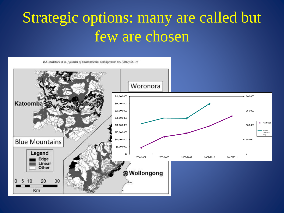## Strategic options: many are called but few are chosen



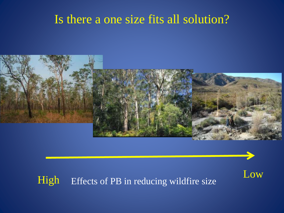## Is there a one size fits all solution?



# High Effects of PB in reducing wildfire size Low

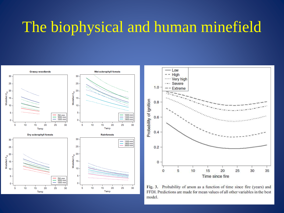## The biophysical and human minefield





Fig. 3. Probability of arson as a function of time since fire (years) and FFDI. Predictions are made for mean values of all other variables in the best model.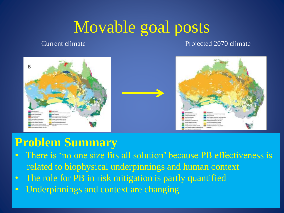# Movable goal posts

Current climate Current climate **Projected 2070** climate



## **Problem Summary**

- There is 'no one size fits all solution' because PB effectiveness is related to biophysical underpinnings and human context
- The role for PB in risk mitigation is partly quantified
- Underpinnings and context are changing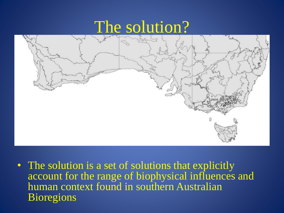## The solution?



• The solution is a set of solutions that explicitly account for the range of biophysical influences and human context found in southern Australian **Bioregions**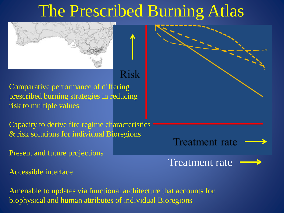# The Prescribed Burning Atlas



### **Risk**

prescribed burning strategies in reducing Comparative performance of differing risk to multiple values

Capacity to derive fire regime characteristics & risk solutions for individual Bioregions

Present and future projections

Accessible interface

Amenable to updates via functional architecture that accounts for biophysical and human attributes of individual Bioregions

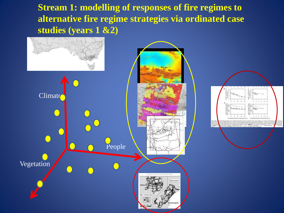**Stream 1: modelling of responses of fire regimes to alternative fire regime strategies via ordinated case studies (years 1 &2)**



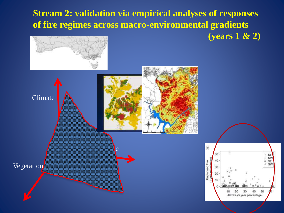**Stream 2: validation via empirical analyses of responses of fire regimes across macro-environmental gradients** 

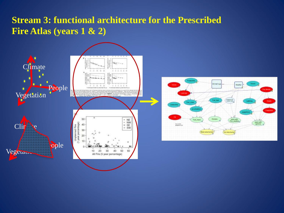### **Stream 3: functional architecture for the Prescribed Fire Atlas (years 1 & 2)**



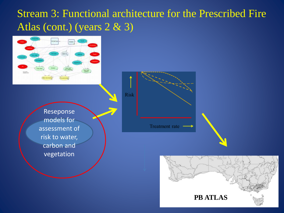### Stream 3: Functional architecture for the Prescribed Fire Atlas (cont.) (years 2 & 3)



Reseponse models for assessment of risk to water, carbon and vegetation

Risk **Treatment** rate

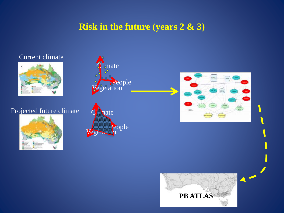### **Risk in the future (years 2 & 3)**

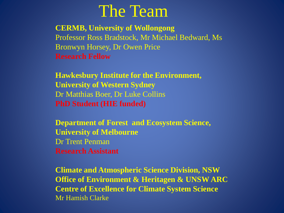## The Team

**CERMB, University of Wollongong** Professor Ross Bradstock, Mr Michael Bedward, Ms Bronwyn Horsey, Dr Owen Price **Research Fellow**

**Hawkesbury Institute for the Environment, University of Western Sydney** Dr Matthias Boer, Dr Luke Collins **PhD Student (HIE funded)**

**Department of Forest and Ecosystem Science, University of Melbourne** Dr Trent Penman **Research Assistant** 

**Climate and Atmospheric Science Division, NSW Office of Environment & Heritagen & UNSW ARC Centre of Excellence for Climate System Science** Mr Hamish Clarke